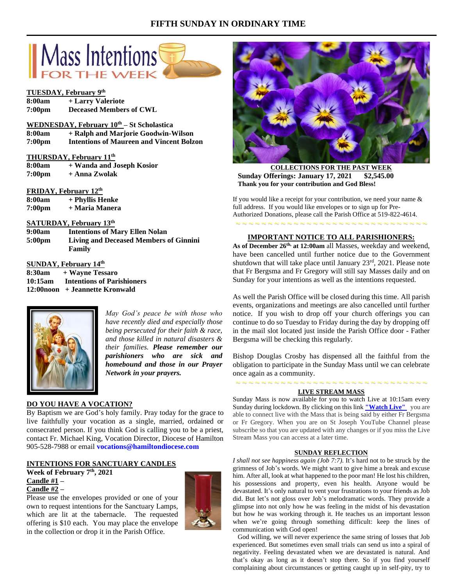# **FIFTH SUNDAY IN ORDINARY TIME**



#### **TUESDAY, February 9 th**

| 8:00am             | + Larry Valeriote              |
|--------------------|--------------------------------|
| 7:00 <sub>pm</sub> | <b>Deceased Members of CWL</b> |

## **WEDNESDAY, February 10th – St Scholastica**

**8:00am + Ralph and Marjorie Goodwin-Wilson 7:00pm Intentions of Maureen and Vincent Bolzon**

#### **THURSDAY, February 11th**

| 8:00am             | + Wanda and Joseph Kosior |
|--------------------|---------------------------|
| 7:00 <sub>pm</sub> | + Anna Zwolak             |

#### **FRIDAY, February 12th**

| 8:00am             | + Phyllis Henke |
|--------------------|-----------------|
| 7:00 <sub>pm</sub> | + Maria Manera  |

## **SATURDAY, February 13th**

| 9:00am             | <b>Intentions of Mary Ellen Nolan</b>  |
|--------------------|----------------------------------------|
| 5:00 <sub>pm</sub> | Living and Deceased Members of Ginnini |
|                    | Family                                 |

## **SUNDAY, February 14th**

**8:30am + Wayne Tessaro 10:15am Intentions of Parishioners 12:00noon + Jeannette Kronwald**



*May God's peace be with those who have recently died and especially those being persecuted for their faith & race, and those killed in natural disasters & their families. Please remember our parishioners who are sick and homebound and those in our Prayer Network in your prayers.*

# **DO YOU HAVE A VOCATION?**

By Baptism we are God's holy family. Pray today for the grace to live faithfully your vocation as a single, married, ordained or consecrated person. If you think God is calling you to be a priest, contact Fr. Michael King, Vocation Director, Diocese of Hamilton 905-528-7988 or email **vocations@hamiltondiocese.com** 

#### **INTENTIONS FOR SANCTUARY CANDLES**

**Week of February 7th, 2021 Candle #1 –**

## **Candle #2 –**

Please use the envelopes provided or one of your own to request intentions for the Sanctuary Lamps, which are lit at the tabernacle. The requested offering is \$10 each. You may place the envelope in the collection or drop it in the Parish Office.





**COLLECTIONS FOR THE PAST WEEK Sunday Offerings: January 17, 2021 \$2,545.00 Thank you for your contribution and God Bless!**

If you would like a receipt for your contribution, we need your name & full address. If you would like envelopes or to sign up for Pre-Authorized Donations, please call the Parish Office at 519-822-4614.

#### **IMPORTANT NOTICE TO ALL PARISHIONERS:**

~ ~ ~ ~ ~ ~ ~ ~ ~ ~ ~ ~ ~ ~ ~ ~ ~ ~ ~ ~ ~ ~ ~ ~ ~ ~ ~ ~ ~ ~

**As of December 26th, at 12:00am** all Masses, weekday and weekend, have been cancelled until further notice due to the Government shutdown that will take place until January  $23<sup>rd</sup>$ ,  $2021$ . Please note that Fr Bergsma and Fr Gregory will still say Masses daily and on Sunday for your intentions as well as the intentions requested.

As well the Parish Office will be closed during this time. All parish events, organizations and meetings are also cancelled until further notice. If you wish to drop off your church offerings you can continue to do so Tuesday to Friday during the day by dropping off in the mail slot located just inside the Parish Office door - Father Bergsma will be checking this regularly.

Bishop Douglas Crosby has dispensed all the faithful from the obligation to participate in the Sunday Mass until we can celebrate once again as a community.

### ~ ~ ~ ~ ~ ~ ~ ~ ~ ~ ~ ~ ~ ~ ~ ~ ~ ~ ~ ~ ~ ~ ~ ~ ~ ~ ~ ~ ~ ~ **LIVE STREAM MASS**

Sunday Mass is now available for you to watch Live at 10:15am every Sunday during lockdown. By clicking on this link **["Watch](https://www.youtube.com/channel/UCL59hxegD__FDJSdMDrt31w) Live"** you are able to connect live with the Mass that is being said by either Fr Bergsma or Fr Gregory. When you are on St Joseph YouTube Channel please subscribe so that you are updated with any changes or if you miss the Live Stream Mass you can access at a later time.

#### **SUNDAY REFLECTION**

*I shall not see happiness again (Job 7:7).* It's hard not to be struck by the grimness of Job's words. We might want to give hime a break and excuse him. After all, look at what happened to the poor man! He lost his children, his possessions and property, even his health. Anyone would be devastated. It's only natural to vent your frustrations to your friends as Job did. But let's not gloss over Job's melodramatic words. They provide a glimpse into not only how he was feeling in the midst of his devastation but how he was working through it. He teaches us an important lesson when we're going through something difficult: keep the lines of communication with God open!

 God willing, we will never experience the same string of losses that Job experienced. But sometimes even small trials can send us into a spiral of negativity. Feeling devastated when we are devastated is natural. And that's okay as long as it doesn't stop there. So if you find yourself complaining about circumstances or getting caught up in self-pity, try to